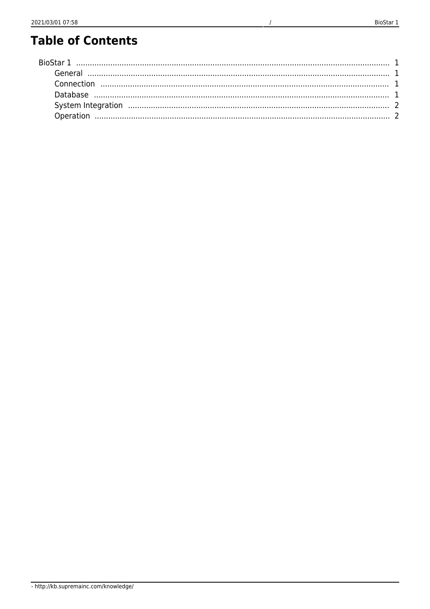# **Table of Contents**

 $\overline{1}$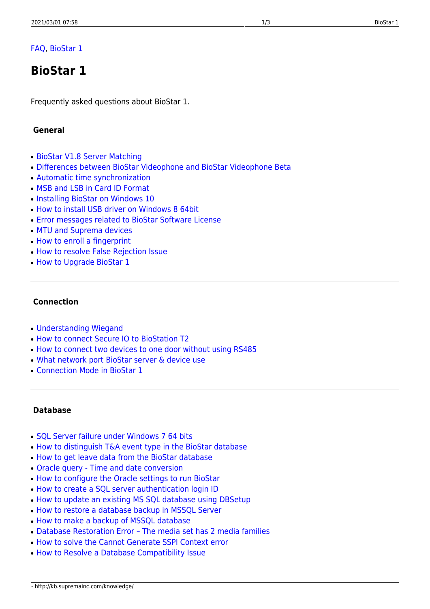## [FAQ,](http://kb.supremainc.com/knowledge/doku.php?id=tag:faq&do=showtag&tag=FAQ) [BioStar 1](http://kb.supremainc.com/knowledge/doku.php?id=tag:biostar_1&do=showtag&tag=BioStar_1)

# <span id="page-1-0"></span>**BioStar 1**

Frequently asked questions about BioStar 1.

#### <span id="page-1-1"></span> **General**

- [BioStar V1.8 Server Matching](http://kb.supremainc.com/knowledge/doku.php?id=en:1xfaq_biostar_v1_8_server_matching)
- [Differences between BioStar Videophone and BioStar Videophone Beta](http://kb.supremainc.com/knowledge/doku.php?id=en:1xfaq_compare_videophone_videophonebeta)
- [Automatic time synchronization](http://kb.supremainc.com/knowledge/doku.php?id=en:1xfaq_automatic_time_synchronization)
- [MSB and LSB in Card ID Format](http://kb.supremainc.com/knowledge/doku.php?id=en:1xfaq_msb_and_lsb_in_card_id_format)
- [Installing BioStar on Windows 10](http://kb.supremainc.com/knowledge/doku.php?id=en:1xfaq_installing_biostar_on_windows_8)
- [How to install USB driver on Windows 8 64bit](http://kb.supremainc.com/knowledge/doku.php?id=en:1xfaq_biostar1x_usb_driver_installation_windows8_64bit)
- [Error messages related to BioStar Software License](http://kb.supremainc.com/knowledge/doku.php?id=en:1xfaq_error_messages_related_to_biostar_software_license)
- [MTU and Suprema devices](http://kb.supremainc.com/knowledge/doku.php?id=en:1xfaq_mtu_and_suprema_devices)
- [How to enroll a fingerprint](http://kb.supremainc.com/knowledge/doku.php?id=en:1xfaq_how_to_enroll_a_fingerprint)
- [How to resolve False Rejection Issue](http://kb.supremainc.com/knowledge/doku.php?id=en:1xfaq_how_to_resolve_frr)
- [How to Upgrade BioStar 1](http://kb.supremainc.com/knowledge/doku.php?id=en:1xfaq_how_to_upgrade_biostar)

#### <span id="page-1-2"></span> **Connection**

- [Understanding Wiegand](http://kb.supremainc.com/knowledge/doku.php?id=en:1xfaq_understanding_wiegand)
- [How to connect Secure IO to BioStation T2](http://kb.supremainc.com/knowledge/doku.php?id=en:1xfaq_how_to_connect_secure_io_to_biostation_t2)
- [How to connect two devices to one door without using RS485](http://kb.supremainc.com/knowledge/doku.php?id=en:1xfaq_how_to_connect_two_devices_to_one_door_without_using_rs485)
- [What network port BioStar server & device use](http://kb.supremainc.com/knowledge/doku.php?id=en:1xfaq_what_network_port_biostar_server_device_use)
- [Connection Mode in BioStar 1](http://kb.supremainc.com/knowledge/doku.php?id=en:1xfaq_difference_between_direct_mode_and_server_mode)

#### <span id="page-1-3"></span> **Database**

- SOL Server failure under Windows 7 64 bits
- [How to distinguish T&A event type in the BioStar database](http://kb.supremainc.com/knowledge/doku.php?id=en:1xfaq_how_to_distinguish_ta_event_type_in_the_biostar_database)
- [How to get leave data from the BioStar database](http://kb.supremainc.com/knowledge/doku.php?id=en:1xfaq_how_to_get_leave_data_from_the_biostar_database)
- [Oracle query Time and date conversion](http://kb.supremainc.com/knowledge/doku.php?id=en:1xfaq_oracle_query-time_and_date_conversion)
- [How to configure the Oracle settings to run BioStar](http://kb.supremainc.com/knowledge/doku.php?id=en:1xfaq_how_to_configure_the_oracle_settings_to_run_biostar)
- [How to create a SQL server authentication login ID](http://kb.supremainc.com/knowledge/doku.php?id=en:1xfaq_how_to_create_a_sql_server_authentication_login_id)
- [How to update an existing MS SQL database using DBSetup](http://kb.supremainc.com/knowledge/doku.php?id=en:1xfaq_how_to_update_an_existing_ms_sql_database_using_dbsetup)
- [How to restore a database backup in MSSQL Server](http://kb.supremainc.com/knowledge/doku.php?id=en:1xfaq_how_to_restore_a_database_backup_in_ms_sql_server)
- [How to make a backup of MSSQL database](http://kb.supremainc.com/knowledge/doku.php?id=en:1xfaq_how_to_make_a_backup_of_mssql_database)
- Database Restoration Error The media set has 2 media families
- [How to solve the Cannot Generate SSPI Context error](http://kb.supremainc.com/knowledge/doku.php?id=en:1xfaq_how_to_solve_the_cannot_generate_sspi_context_error)
- [How to Resolve a Database Compatibility Issue](http://kb.supremainc.com/knowledge/doku.php?id=en:1xfaq_how_to_resolve_a_database_compatibility_issue)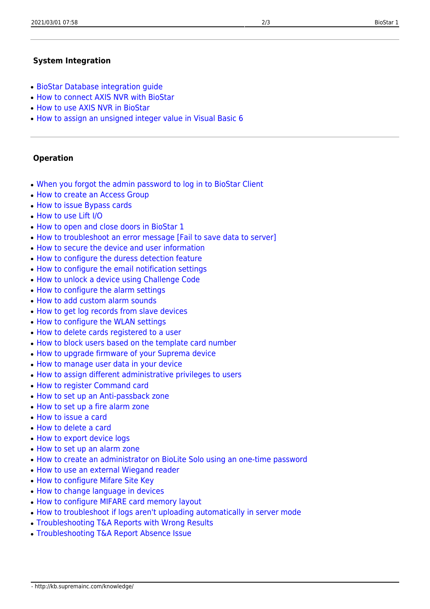### <span id="page-2-0"></span> **System Integration**

- [BioStar Database integration guide](http://kb.supremainc.com/knowledge/doku.php?id=en:1xfaq_biostar_database_integration_guide)
- [How to connect AXIS NVR with BioStar](http://kb.supremainc.com/knowledge/doku.php?id=en:1xfaq_how_to_connect_axis_nvr_with_biostar)
- [How to use AXIS NVR in BioStar](http://kb.supremainc.com/knowledge/doku.php?id=en:1xfaq_how_to_use_axis_nvr_in_biostar)
- [How to assign an unsigned integer value in Visual Basic 6](http://kb.supremainc.com/knowledge/doku.php?id=en:1xfaq_how_to_assign_an_unsigned_integer_value_in_visual_basic_6)

#### <span id="page-2-1"></span> **Operation**

- [When you forgot the admin password to log in to BioStar Client](http://kb.supremainc.com/knowledge/doku.php?id=en:1xfaq_when_you_forgot_the_admin_password_to_log_in_to_biostar_client)
- [How to create an Access Group](http://kb.supremainc.com/knowledge/doku.php?id=en:1xfaq_how_to_create_an_access_group)
- [How to issue Bypass cards](http://kb.supremainc.com/knowledge/doku.php?id=en:1xfaq_how_to_issue_bypass_cards)
- [How to use Lift I/O](http://kb.supremainc.com/knowledge/doku.php?id=en:1xfaq_how_to_use_lift_i_o)
- [How to open and close doors in BioStar 1](http://kb.supremainc.com/knowledge/doku.php?id=en:1xfaq_how_to_open_and_close_doors_in_biostar)
- [How to troubleshoot an error message \[Fail to save data to server\]](http://kb.supremainc.com/knowledge/doku.php?id=en:1xfaq_how_to_troubleshoot_an_error_message_fail_to_save_data_to_server)
- [How to secure the device and user information](http://kb.supremainc.com/knowledge/doku.php?id=en:1xfaq_how_to_secure_the_device_and_user_information)
- [How to configure the duress detection feature](http://kb.supremainc.com/knowledge/doku.php?id=en:1xfaq_how_to_configure_the_duress_detection_feature)
- [How to configure the email notification settings](http://kb.supremainc.com/knowledge/doku.php?id=en:1xfaq_how_to_configure_the_email_notification_settings)
- [How to unlock a device using Challenge Code](http://kb.supremainc.com/knowledge/doku.php?id=en:1xfaq_how_to_unlock_a_device_using_challenge_code)
- [How to configure the alarm settings](http://kb.supremainc.com/knowledge/doku.php?id=en:1xfaq_how_to_configure_the_alarm_settings)
- [How to add custom alarm sounds](http://kb.supremainc.com/knowledge/doku.php?id=en:1xfaq_how_to_add_custom_alarm_sounds)
- [How to get log records from slave devices](http://kb.supremainc.com/knowledge/doku.php?id=en:1xfaq_how_to_get_log_records_from_slave_devices)
- [How to configure the WLAN settings](http://kb.supremainc.com/knowledge/doku.php?id=en:1xfaq_how_to_configure_the_wlan_settings_on_biostar)
- [How to delete cards registered to a user](http://kb.supremainc.com/knowledge/doku.php?id=en:1xfaq_how_to_delete_cards_registered_to_a_user)
- [How to block users based on the template card number](http://kb.supremainc.com/knowledge/doku.php?id=en:1xfaq_how_to_block_users_based_on_the_template_card_number)
- [How to upgrade firmware of your Suprema device](http://kb.supremainc.com/knowledge/doku.php?id=en:1xfaq_how_to_upgrade_firmware_of_your_suprema_device)
- [How to manage user data in your device](http://kb.supremainc.com/knowledge/doku.php?id=en:1xfaq_how_to_manage_user_data_in_your_device)
- [How to assign different administrative privileges to users](http://kb.supremainc.com/knowledge/doku.php?id=en:1xfaq_how_to_assign_different_administrative_privileges_to_users)
- [How to register Command card](http://kb.supremainc.com/knowledge/doku.php?id=en:1xfaq_how_to_register_command_card)
- [How to set up an Anti-passback zone](http://kb.supremainc.com/knowledge/doku.php?id=en:1xfaq_how_to_set_up_an_anti-passback_zone)
- [How to set up a fire alarm zone](http://kb.supremainc.com/knowledge/doku.php?id=en:1xfaq_how_to_set_up_a_fire_alarm_zone)
- [How to issue a card](http://kb.supremainc.com/knowledge/doku.php?id=en:1xfaq_how_to_issue_a_card)
- [How to delete a card](http://kb.supremainc.com/knowledge/doku.php?id=en:1xfaq_how_to_delete_a_card)
- [How to export device logs](http://kb.supremainc.com/knowledge/doku.php?id=en:1xfaq_how_to_export_device_logs)
- [How to set up an alarm zone](http://kb.supremainc.com/knowledge/doku.php?id=en:1xfaq_how_to_set_up_an_alarm_zone)
- [How to create an administrator on BioLite Solo using an one-time password](http://kb.supremainc.com/knowledge/doku.php?id=en:1xfaq_how_to_create_an_administrator_on_bls_using_an_one-time_password)
- [How to use an external Wiegand reader](http://kb.supremainc.com/knowledge/doku.php?id=en:1xfaq_how_to_use_an_external_wiegand_reader)
- [How to configure Mifare Site Key](http://kb.supremainc.com/knowledge/doku.php?id=en:1xfaq_how_to_configure_mifare_site_key)
- [How to change language in devices](http://kb.supremainc.com/knowledge/doku.php?id=en:1xfaq_how_to_change_language_in_devices)
- [How to configure MIFARE card memory layout](http://kb.supremainc.com/knowledge/doku.php?id=en:1xfaq_how_to_configure_mifare_card_memory_layout)
- [How to troubleshoot if logs aren't uploading automatically in server mode](http://kb.supremainc.com/knowledge/doku.php?id=en:1xfaq_how_to_troubleshoot_if_logs_aren_t_uploading_automatically_in_server_mode)
- [Troubleshooting T&A Reports with Wrong Results](http://kb.supremainc.com/knowledge/doku.php?id=en:1xfaq_how_to_troubleshoot_t_a_reports_with_wrong_results)
- [Troubleshooting T&A Report Absence Issue](http://kb.supremainc.com/knowledge/doku.php?id=en:1xfaq_how_to_troubleshoot_t_a_report_absence_issue)